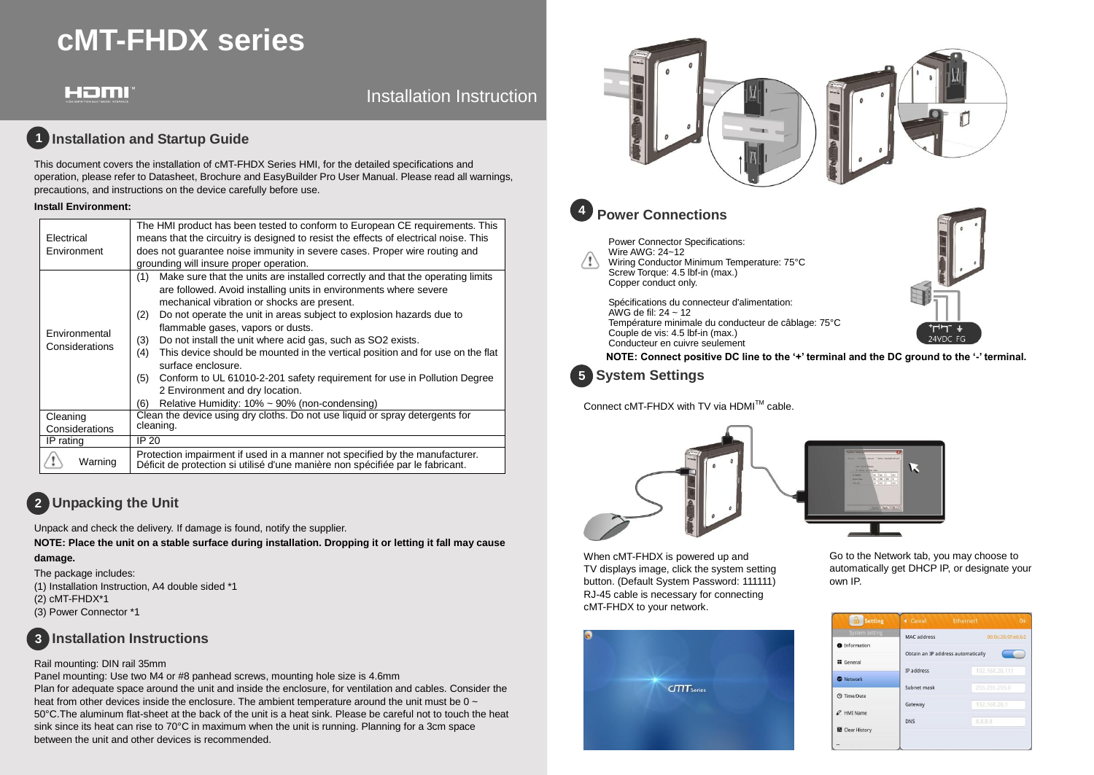# **cMT-FHDX series**

# Homi

## Installation Instruction

## **1** Installation and Startup Guide

This document covers the installation of cMT-FHDX Series HMI, for the detailed specifications and operation, please refer to Datasheet, Brochure and EasyBuilder Pro User Manual. Please read all warnings, precautions, and instructions on the device carefully before use.

### **Install Environment:**

| Electrical<br>Environment       | The HMI product has been tested to conform to European CE requirements. This<br>means that the circuitry is designed to resist the effects of electrical noise. This<br>does not quarantee noise immunity in severe cases. Proper wire routing and<br>grounding will insure proper operation.                                                                                                                                                                                                                                                                                                                                                                                                           |  |  |
|---------------------------------|---------------------------------------------------------------------------------------------------------------------------------------------------------------------------------------------------------------------------------------------------------------------------------------------------------------------------------------------------------------------------------------------------------------------------------------------------------------------------------------------------------------------------------------------------------------------------------------------------------------------------------------------------------------------------------------------------------|--|--|
| Environmental<br>Considerations | Make sure that the units are installed correctly and that the operating limits<br>(1)<br>are followed. Avoid installing units in environments where severe<br>mechanical vibration or shocks are present.<br>Do not operate the unit in areas subject to explosion hazards due to<br>(2)<br>flammable gases, vapors or dusts.<br>Do not install the unit where acid gas, such as SO2 exists.<br>(3)<br>This device should be mounted in the vertical position and for use on the flat<br>(4)<br>surface enclosure.<br>Conform to UL 61010-2-201 safety requirement for use in Pollution Degree<br>(5)<br>2 Environment and dry location.<br>Relative Humidity: $10\% \sim 90\%$ (non-condensing)<br>(6) |  |  |
| Cleaning<br>Considerations      | Clean the device using dry cloths. Do not use liquid or spray detergents for<br>cleaning.                                                                                                                                                                                                                                                                                                                                                                                                                                                                                                                                                                                                               |  |  |
| IP rating                       | IP 20                                                                                                                                                                                                                                                                                                                                                                                                                                                                                                                                                                                                                                                                                                   |  |  |
| Warning                         | Protection impairment if used in a manner not specified by the manufacturer.<br>Déficit de protection si utilisé d'une manière non spécifiée par le fabricant.                                                                                                                                                                                                                                                                                                                                                                                                                                                                                                                                          |  |  |

# **Unpacking the Unit 2**

Unpack and check the delivery. If damage is found, notify the supplier.

**NOTE: Place the unit on a stable surface during installation. Dropping it or letting it fall may cause damage.**

## The package includes: (1) Installation Instruction, A4 double sided \*1

(2) cMT-FHDX\*1 (3) Power Connector \*1

## **Installation Instructions 3**

## Rail mounting: DIN rail 35mm

Panel mounting: Use two M4 or #8 panhead screws, mounting hole size is 4.6mm

Plan for adequate space around the unit and inside the enclosure, for ventilation and cables. Consider the heat from other devices inside the enclosure. The ambient temperature around the unit must be  $0 \sim$ 50°C.The aluminum flat-sheet at the back of the unit is a heat sink. Please be careful not to touch the heat sink since its heat can rise to 70°C in maximum when the unit is running. Planning for a 3cm space between the unit and other devices is recommended.



Conducteur en cuivre seulement **NOTE: Connect positive DC line to the '+' terminal and the DC ground to the '-' terminal.**

**System Settings 5**

**4**

Connect cMT-FHDX with TV via HDMI™ cable.





When cMT-FHDX is powered up and TV displays image, click the system setting button. (Default System Password: 111111) RJ-45 cable is necessary for connecting cMT-FHDX to your network.



Go to the Network tab, you may choose to automatically get DHCP IP, or designate your own IP.